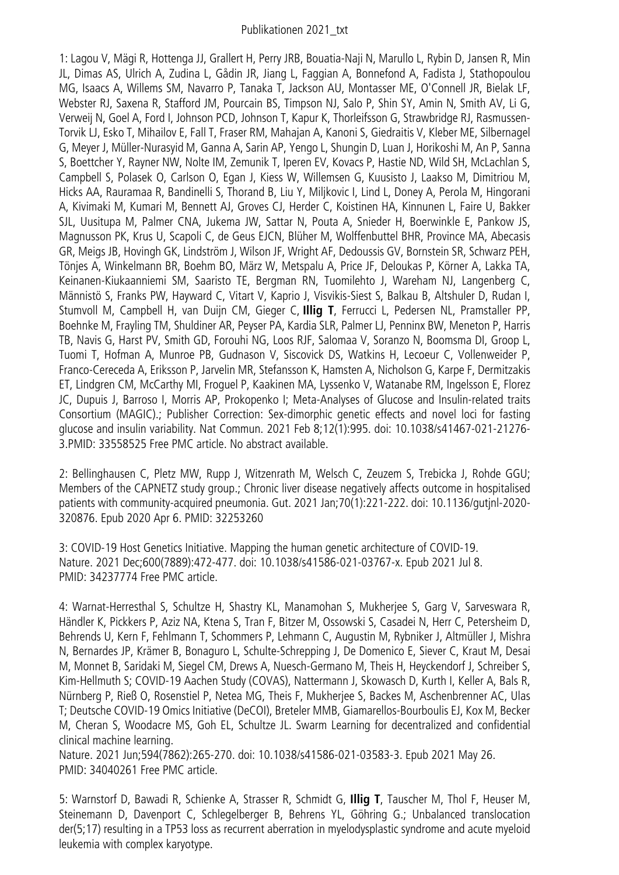## Publikationen 2021\_txt

1: Lagou V, Mägi R, Hottenga JJ, Grallert H, Perry JRB, Bouatia-Naji N, Marullo L, Rybin D, Jansen R, Min JL, Dimas AS, Ulrich A, Zudina L, Gådin JR, Jiang L, Faggian A, Bonnefond A, Fadista J, Stathopoulou MG, Isaacs A, Willems SM, Navarro P, Tanaka T, Jackson AU, Montasser ME, O'Connell JR, Bielak LF, Webster RJ, Saxena R, Stafford JM, Pourcain BS, Timpson NJ, Salo P, Shin SY, Amin N, Smith AV, Li G, Verweij N, Goel A, Ford I, Johnson PCD, Johnson T, Kapur K, Thorleifsson G, Strawbridge RJ, Rasmussen-Torvik LJ, Esko T, Mihailov E, Fall T, Fraser RM, Mahajan A, Kanoni S, Giedraitis V, Kleber ME, Silbernagel G, Meyer J, Müller-Nurasyid M, Ganna A, Sarin AP, Yengo L, Shungin D, Luan J, Horikoshi M, An P, Sanna S, Boettcher Y, Rayner NW, Nolte IM, Zemunik T, Iperen EV, Kovacs P, Hastie ND, Wild SH, McLachlan S, Campbell S, Polasek O, Carlson O, Egan J, Kiess W, Willemsen G, Kuusisto J, Laakso M, Dimitriou M, Hicks AA, Rauramaa R, Bandinelli S, Thorand B, Liu Y, Miljkovic I, Lind L, Doney A, Perola M, Hingorani A, Kivimaki M, Kumari M, Bennett AJ, Groves CJ, Herder C, Koistinen HA, Kinnunen L, Faire U, Bakker SJL, Uusitupa M, Palmer CNA, Jukema JW, Sattar N, Pouta A, Snieder H, Boerwinkle E, Pankow JS, Magnusson PK, Krus U, Scapoli C, de Geus EJCN, Blüher M, Wolffenbuttel BHR, Province MA, Abecasis GR, Meigs JB, Hovingh GK, Lindström J, Wilson JF, Wright AF, Dedoussis GV, Bornstein SR, Schwarz PEH, Tönjes A, Winkelmann BR, Boehm BO, März W, Metspalu A, Price JF, Deloukas P, Körner A, Lakka TA, Keinanen-Kiukaanniemi SM, Saaristo TE, Bergman RN, Tuomilehto J, Wareham NJ, Langenberg C, Männistö S, Franks PW, Hayward C, Vitart V, Kaprio J, Visvikis-Siest S, Balkau B, Altshuler D, Rudan I, Stumvoll M, Campbell H, van Duijn CM, Gieger C, **Illig T**, Ferrucci L, Pedersen NL, Pramstaller PP, Boehnke M, Frayling TM, Shuldiner AR, Peyser PA, Kardia SLR, Palmer LJ, Penninx BW, Meneton P, Harris TB, Navis G, Harst PV, Smith GD, Forouhi NG, Loos RJF, Salomaa V, Soranzo N, Boomsma DI, Groop L, Tuomi T, Hofman A, Munroe PB, Gudnason V, Siscovick DS, Watkins H, Lecoeur C, Vollenweider P, Franco-Cereceda A, Eriksson P, Jarvelin MR, Stefansson K, Hamsten A, Nicholson G, Karpe F, Dermitzakis ET, Lindgren CM, McCarthy MI, Froguel P, Kaakinen MA, Lyssenko V, Watanabe RM, Ingelsson E, Florez JC, Dupuis J, Barroso I, Morris AP, Prokopenko I; Meta-Analyses of Glucose and Insulin-related traits Consortium (MAGIC).; Publisher Correction: Sex-dimorphic genetic effects and novel loci for fasting glucose and insulin variability. Nat Commun. 2021 Feb 8;12(1):995. doi: 10.1038/s41467-021-21276- 3.PMID: 33558525 Free PMC article. No abstract available.

2: Bellinghausen C, Pletz MW, Rupp J, Witzenrath M, Welsch C, Zeuzem S, Trebicka J, Rohde GGU; Members of the CAPNETZ study group.; Chronic liver disease negatively affects outcome in hospitalised patients with community-acquired pneumonia. Gut. 2021 Jan;70(1):221-222. doi: 10.1136/gutjnl-2020- 320876. Epub 2020 Apr 6. PMID: 32253260

3: COVID-19 Host Genetics Initiative. Mapping the human genetic architecture of COVID-19. Nature. 2021 Dec;600(7889):472-477. doi: 10.1038/s41586-021-03767-x. Epub 2021 Jul 8. PMID: 34237774 Free PMC article.

4: Warnat-Herresthal S, Schultze H, Shastry KL, Manamohan S, Mukherjee S, Garg V, Sarveswara R, Händler K, Pickkers P, Aziz NA, Ktena S, Tran F, Bitzer M, Ossowski S, Casadei N, Herr C, Petersheim D, Behrends U, Kern F, Fehlmann T, Schommers P, Lehmann C, Augustin M, Rybniker J, Altmüller J, Mishra N, Bernardes JP, Krämer B, Bonaguro L, Schulte-Schrepping J, De Domenico E, Siever C, Kraut M, Desai M, Monnet B, Saridaki M, Siegel CM, Drews A, Nuesch-Germano M, Theis H, Heyckendorf J, Schreiber S, Kim-Hellmuth S; COVID-19 Aachen Study (COVAS), Nattermann J, Skowasch D, Kurth I, Keller A, Bals R, Nürnberg P, Rieß O, Rosenstiel P, Netea MG, Theis F, Mukherjee S, Backes M, Aschenbrenner AC, Ulas T; Deutsche COVID-19 Omics Initiative (DeCOI), Breteler MMB, Giamarellos-Bourboulis EJ, Kox M, Becker M, Cheran S, Woodacre MS, Goh EL, Schultze JL. Swarm Learning for decentralized and confidential clinical machine learning.

Nature. 2021 Jun;594(7862):265-270. doi: 10.1038/s41586-021-03583-3. Epub 2021 May 26. PMID: 34040261 Free PMC article.

5: Warnstorf D, Bawadi R, Schienke A, Strasser R, Schmidt G, **Illig T**, Tauscher M, Thol F, Heuser M, Steinemann D, Davenport C, Schlegelberger B, Behrens YL, Göhring G.; Unbalanced translocation der(5;17) resulting in a TP53 loss as recurrent aberration in myelodysplastic syndrome and acute myeloid leukemia with complex karyotype.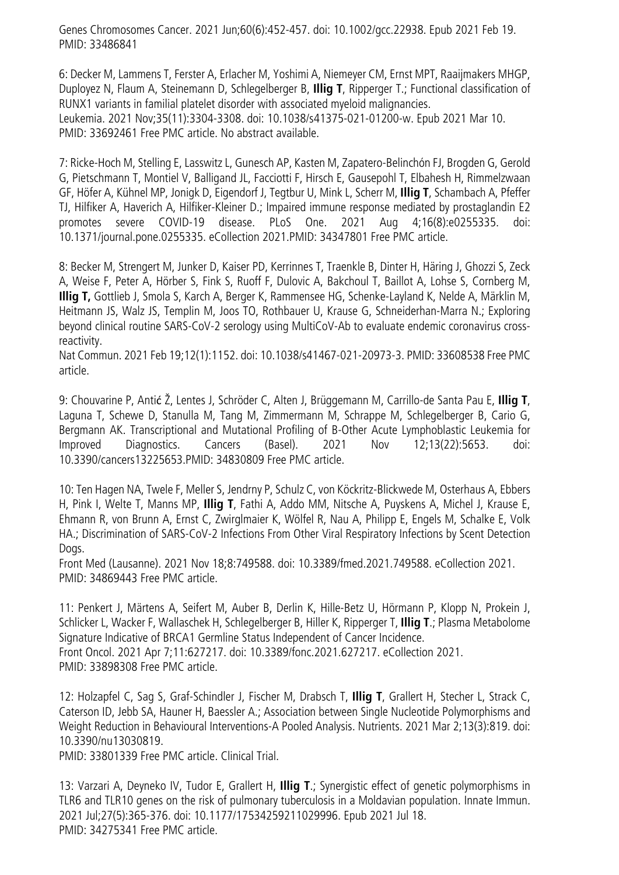Genes Chromosomes Cancer. 2021 Jun;60(6):452-457. doi: 10.1002/gcc.22938. Epub 2021 Feb 19. PMID: 33486841

6: Decker M, Lammens T, Ferster A, Erlacher M, Yoshimi A, Niemeyer CM, Ernst MPT, Raaijmakers MHGP, Duployez N, Flaum A, Steinemann D, Schlegelberger B, **Illig T**, Ripperger T.; Functional classification of RUNX1 variants in familial platelet disorder with associated myeloid malignancies. Leukemia. 2021 Nov;35(11):3304-3308. doi: 10.1038/s41375-021-01200-w. Epub 2021 Mar 10. PMID: 33692461 Free PMC article. No abstract available.

7: Ricke-Hoch M, Stelling E, Lasswitz L, Gunesch AP, Kasten M, Zapatero-Belinchón FJ, Brogden G, Gerold G, Pietschmann T, Montiel V, Balligand JL, Facciotti F, Hirsch E, Gausepohl T, Elbahesh H, Rimmelzwaan GF, Höfer A, Kühnel MP, Jonigk D, Eigendorf J, Tegtbur U, Mink L, Scherr M, **Illig T**, Schambach A, Pfeffer TJ, Hilfiker A, Haverich A, Hilfiker-Kleiner D.; Impaired immune response mediated by prostaglandin E2 promotes severe COVID-19 disease. PLoS One. 2021 Aug 4;16(8):e0255335. doi: 10.1371/journal.pone.0255335. eCollection 2021.PMID: 34347801 Free PMC article.

8: Becker M, Strengert M, Junker D, Kaiser PD, Kerrinnes T, Traenkle B, Dinter H, Häring J, Ghozzi S, Zeck A, Weise F, Peter A, Hörber S, Fink S, Ruoff F, Dulovic A, Bakchoul T, Baillot A, Lohse S, Cornberg M, **Illig T,** Gottlieb J, Smola S, Karch A, Berger K, Rammensee HG, Schenke-Layland K, Nelde A, Märklin M, Heitmann JS, Walz JS, Templin M, Joos TO, Rothbauer U, Krause G, Schneiderhan-Marra N.; Exploring beyond clinical routine SARS-CoV-2 serology using MultiCoV-Ab to evaluate endemic coronavirus crossreactivity.

Nat Commun. 2021 Feb 19;12(1):1152. doi: 10.1038/s41467-021-20973-3. PMID: 33608538 Free PMC article.

9: Chouvarine P, Antić Ž, Lentes J, Schröder C, Alten J, Brüggemann M, Carrillo-de Santa Pau E, **Illig T**, Laguna T, Schewe D, Stanulla M, Tang M, Zimmermann M, Schrappe M, Schlegelberger B, Cario G, Bergmann AK. Transcriptional and Mutational Profiling of B-Other Acute Lymphoblastic Leukemia for Improved Diagnostics. Cancers (Basel). 2021 Nov 12;13(22):5653. doi: 10.3390/cancers13225653.PMID: 34830809 Free PMC article.

10: Ten Hagen NA, Twele F, Meller S, Jendrny P, Schulz C, von Köckritz-Blickwede M, Osterhaus A, Ebbers H, Pink I, Welte T, Manns MP, **Illig T**, Fathi A, Addo MM, Nitsche A, Puyskens A, Michel J, Krause E, Ehmann R, von Brunn A, Ernst C, Zwirglmaier K, Wölfel R, Nau A, Philipp E, Engels M, Schalke E, Volk HA.; Discrimination of SARS-CoV-2 Infections From Other Viral Respiratory Infections by Scent Detection Dogs.

Front Med (Lausanne). 2021 Nov 18;8:749588. doi: 10.3389/fmed.2021.749588. eCollection 2021. PMID: 34869443 Free PMC article.

11: Penkert J, Märtens A, Seifert M, Auber B, Derlin K, Hille-Betz U, Hörmann P, Klopp N, Prokein J, Schlicker L, Wacker F, Wallaschek H, Schlegelberger B, Hiller K, Ripperger T, **Illig T**.; Plasma Metabolome Signature Indicative of BRCA1 Germline Status Independent of Cancer Incidence. Front Oncol. 2021 Apr 7;11:627217. doi: 10.3389/fonc.2021.627217. eCollection 2021. PMID: 33898308 Free PMC article.

12: Holzapfel C, Sag S, Graf-Schindler J, Fischer M, Drabsch T, **Illig T**, Grallert H, Stecher L, Strack C, Caterson ID, Jebb SA, Hauner H, Baessler A.; Association between Single Nucleotide Polymorphisms and Weight Reduction in Behavioural Interventions-A Pooled Analysis. Nutrients. 2021 Mar 2;13(3):819. doi: 10.3390/nu13030819.

PMID: 33801339 Free PMC article. Clinical Trial.

13: Varzari A, Deyneko IV, Tudor E, Grallert H, **Illig T**.; Synergistic effect of genetic polymorphisms in TLR6 and TLR10 genes on the risk of pulmonary tuberculosis in a Moldavian population. Innate Immun. 2021 Jul;27(5):365-376. doi: 10.1177/17534259211029996. Epub 2021 Jul 18. PMID: 34275341 Free PMC article.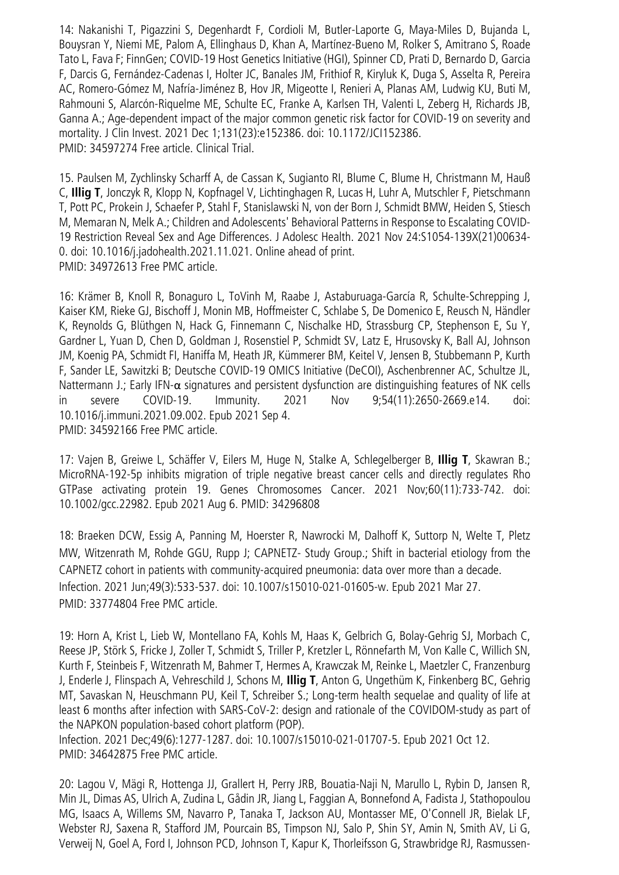14: Nakanishi T, Pigazzini S, Degenhardt F, Cordioli M, Butler-Laporte G, Maya-Miles D, Bujanda L, Bouysran Y, Niemi ME, Palom A, Ellinghaus D, Khan A, Martínez-Bueno M, Rolker S, Amitrano S, Roade Tato L, Fava F; FinnGen; COVID-19 Host Genetics Initiative (HGI), Spinner CD, Prati D, Bernardo D, Garcia F, Darcis G, Fernández-Cadenas I, Holter JC, Banales JM, Frithiof R, Kiryluk K, Duga S, Asselta R, Pereira AC, Romero-Gómez M, Nafría-Jiménez B, Hov JR, Migeotte I, Renieri A, Planas AM, Ludwig KU, Buti M, Rahmouni S, Alarcón-Riquelme ME, Schulte EC, Franke A, Karlsen TH, Valenti L, Zeberg H, Richards JB, Ganna A.; Age-dependent impact of the major common genetic risk factor for COVID-19 on severity and mortality. J Clin Invest. 2021 Dec 1;131(23):e152386. doi: 10.1172/JCI152386. PMID: 34597274 Free article. Clinical Trial.

15. Paulsen M, Zychlinsky Scharff A, de Cassan K, Sugianto RI, Blume C, Blume H, Christmann M, Hauß C, **Illig T**, Jonczyk R, Klopp N, Kopfnagel V, Lichtinghagen R, Lucas H, Luhr A, Mutschler F, Pietschmann T, Pott PC, Prokein J, Schaefer P, Stahl F, Stanislawski N, von der Born J, Schmidt BMW, Heiden S, Stiesch M, Memaran N, Melk A.; Children and Adolescents' Behavioral Patterns in Response to Escalating COVID-19 Restriction Reveal Sex and Age Differences. J Adolesc Health. 2021 Nov 24:S1054-139X(21)00634- 0. doi: 10.1016/j.jadohealth.2021.11.021. Online ahead of print. PMID: 34972613 Free PMC article.

16: Krämer B, Knoll R, Bonaguro L, ToVinh M, Raabe J, Astaburuaga-García R, Schulte-Schrepping J, Kaiser KM, Rieke GJ, Bischoff J, Monin MB, Hoffmeister C, Schlabe S, De Domenico E, Reusch N, Händler K, Reynolds G, Blüthgen N, Hack G, Finnemann C, Nischalke HD, Strassburg CP, Stephenson E, Su Y, Gardner L, Yuan D, Chen D, Goldman J, Rosenstiel P, Schmidt SV, Latz E, Hrusovsky K, Ball AJ, Johnson JM, Koenig PA, Schmidt FI, Haniffa M, Heath JR, Kümmerer BM, Keitel V, Jensen B, Stubbemann P, Kurth F, Sander LE, Sawitzki B; Deutsche COVID-19 OMICS Initiative (DeCOI), Aschenbrenner AC, Schultze JL, Nattermann J.; Early IFN-α signatures and persistent dysfunction are distinguishing features of NK cells in severe COVID-19. Immunity. 2021 Nov 9;54(11):2650-2669.e14. doi: 10.1016/j.immuni.2021.09.002. Epub 2021 Sep 4. PMID: 34592166 Free PMC article.

17: Vajen B, Greiwe L, Schäffer V, Eilers M, Huge N, Stalke A, Schlegelberger B, **Illig T**, Skawran B.; MicroRNA-192-5p inhibits migration of triple negative breast cancer cells and directly regulates Rho GTPase activating protein 19. Genes Chromosomes Cancer. 2021 Nov;60(11):733-742. doi: 10.1002/gcc.22982. Epub 2021 Aug 6. PMID: 34296808

18: Braeken DCW, Essig A, Panning M, Hoerster R, Nawrocki M, Dalhoff K, Suttorp N, Welte T, Pletz MW, Witzenrath M, Rohde GGU, Rupp J; CAPNETZ- Study Group.; Shift in bacterial etiology from the CAPNETZ cohort in patients with community-acquired pneumonia: data over more than a decade. Infection. 2021 Jun;49(3):533-537. doi: 10.1007/s15010-021-01605-w. Epub 2021 Mar 27. PMID: 33774804 Free PMC article.

19: Horn A, Krist L, Lieb W, Montellano FA, Kohls M, Haas K, Gelbrich G, Bolay-Gehrig SJ, Morbach C, Reese JP, Störk S, Fricke J, Zoller T, Schmidt S, Triller P, Kretzler L, Rönnefarth M, Von Kalle C, Willich SN, Kurth F, Steinbeis F, Witzenrath M, Bahmer T, Hermes A, Krawczak M, Reinke L, Maetzler C, Franzenburg J, Enderle J, Flinspach A, Vehreschild J, Schons M, **Illig T**, Anton G, Ungethüm K, Finkenberg BC, Gehrig MT, Savaskan N, Heuschmann PU, Keil T, Schreiber S.; Long-term health sequelae and quality of life at least 6 months after infection with SARS-CoV-2: design and rationale of the COVIDOM-study as part of the NAPKON population-based cohort platform (POP).

Infection. 2021 Dec;49(6):1277-1287. doi: 10.1007/s15010-021-01707-5. Epub 2021 Oct 12. PMID: 34642875 Free PMC article.

20: Lagou V, Mägi R, Hottenga JJ, Grallert H, Perry JRB, Bouatia-Naji N, Marullo L, Rybin D, Jansen R, Min JL, Dimas AS, Ulrich A, Zudina L, Gådin JR, Jiang L, Faggian A, Bonnefond A, Fadista J, Stathopoulou MG, Isaacs A, Willems SM, Navarro P, Tanaka T, Jackson AU, Montasser ME, O'Connell JR, Bielak LF, Webster RJ, Saxena R, Stafford JM, Pourcain BS, Timpson NJ, Salo P, Shin SY, Amin N, Smith AV, Li G, Verweij N, Goel A, Ford I, Johnson PCD, Johnson T, Kapur K, Thorleifsson G, Strawbridge RJ, Rasmussen-